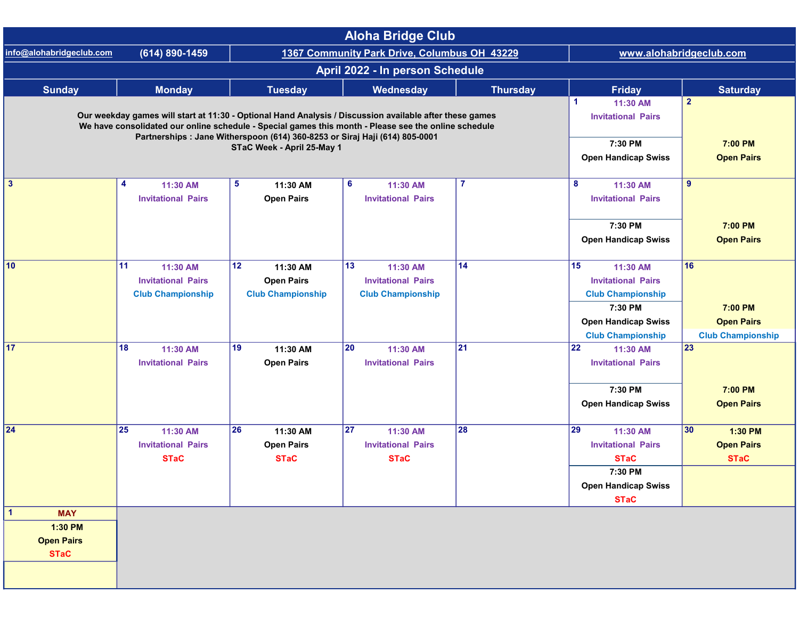| <b>Aloha Bridge Club</b>                                       |                                                                                                                                                                                                                                                                                                |                                                                 |                                                                          |                           |                                                                                                                    |                                                                             |  |  |  |  |
|----------------------------------------------------------------|------------------------------------------------------------------------------------------------------------------------------------------------------------------------------------------------------------------------------------------------------------------------------------------------|-----------------------------------------------------------------|--------------------------------------------------------------------------|---------------------------|--------------------------------------------------------------------------------------------------------------------|-----------------------------------------------------------------------------|--|--|--|--|
| info@alohabridgeclub.com                                       | (614) 890-1459                                                                                                                                                                                                                                                                                 | 1367 Community Park Drive, Columbus OH 43229                    |                                                                          |                           | www.alohabridgeclub.com                                                                                            |                                                                             |  |  |  |  |
| April 2022 - In person Schedule                                |                                                                                                                                                                                                                                                                                                |                                                                 |                                                                          |                           |                                                                                                                    |                                                                             |  |  |  |  |
| <b>Sunday</b>                                                  | <b>Monday</b>                                                                                                                                                                                                                                                                                  | <b>Tuesday</b>                                                  | Wednesday                                                                | <b>Thursday</b>           | <b>Friday</b>                                                                                                      | <b>Saturday</b>                                                             |  |  |  |  |
|                                                                | Our weekday games will start at 11:30 - Optional Hand Analysis / Discussion available after these games<br>We have consolidated our online schedule - Special games this month - Please see the online schedule<br>Partnerships : Jane Witherspoon (614) 360-8253 or Siraj Haji (614) 805-0001 |                                                                 | $\blacktriangleleft$<br>11:30 AM<br><b>Invitational Pairs</b><br>7:30 PM | $\overline{2}$<br>7:00 PM |                                                                                                                    |                                                                             |  |  |  |  |
|                                                                |                                                                                                                                                                                                                                                                                                |                                                                 | <b>Open Handicap Swiss</b>                                               | <b>Open Pairs</b>         |                                                                                                                    |                                                                             |  |  |  |  |
| $\mathbf{3}$                                                   | 4<br>11:30 AM<br><b>Invitational Pairs</b>                                                                                                                                                                                                                                                     | 5<br>11:30 AM<br><b>Open Pairs</b>                              | 6<br>11:30 AM<br><b>Invitational Pairs</b>                               | $\overline{7}$            | 8<br>11:30 AM<br><b>Invitational Pairs</b><br>7:30 PM                                                              | 9<br>7:00 PM                                                                |  |  |  |  |
|                                                                |                                                                                                                                                                                                                                                                                                |                                                                 |                                                                          |                           | <b>Open Handicap Swiss</b>                                                                                         | <b>Open Pairs</b>                                                           |  |  |  |  |
| 10                                                             | 11<br>11:30 AM<br><b>Invitational Pairs</b><br><b>Club Championship</b>                                                                                                                                                                                                                        | 12<br>11:30 AM<br><b>Open Pairs</b><br><b>Club Championship</b> | 13<br>11:30 AM<br><b>Invitational Pairs</b><br><b>Club Championship</b>  | 14                        | 15<br>11:30 AM<br><b>Invitational Pairs</b><br><b>Club Championship</b><br>7:30 PM<br><b>Open Handicap Swiss</b>   | 16<br>7:00 PM<br><b>Open Pairs</b>                                          |  |  |  |  |
| 17                                                             | 18<br>11:30 AM<br><b>Invitational Pairs</b>                                                                                                                                                                                                                                                    | 19<br>11:30 AM<br><b>Open Pairs</b>                             | 20<br>11:30 AM<br><b>Invitational Pairs</b>                              | 21                        | <b>Club Championship</b><br>22<br>11:30 AM<br><b>Invitational Pairs</b><br>7:30 PM<br><b>Open Handicap Swiss</b>   | <b>Club Championship</b><br>$\overline{23}$<br>7:00 PM<br><b>Open Pairs</b> |  |  |  |  |
| 24                                                             | 25<br>11:30 AM<br><b>Invitational Pairs</b><br><b>STaC</b>                                                                                                                                                                                                                                     | 26<br>11:30 AM<br><b>Open Pairs</b><br><b>STaC</b>              | 27<br>11:30 AM<br><b>Invitational Pairs</b><br><b>STaC</b>               | 28                        | 29<br>11:30 AM<br><b>Invitational Pairs</b><br><b>STaC</b><br>7:30 PM<br><b>Open Handicap Swiss</b><br><b>STaC</b> | 30<br>1:30 PM<br><b>Open Pairs</b><br><b>STaC</b>                           |  |  |  |  |
| <b>MAY</b><br>1<br>1:30 PM<br><b>Open Pairs</b><br><b>STaC</b> |                                                                                                                                                                                                                                                                                                |                                                                 |                                                                          |                           |                                                                                                                    |                                                                             |  |  |  |  |